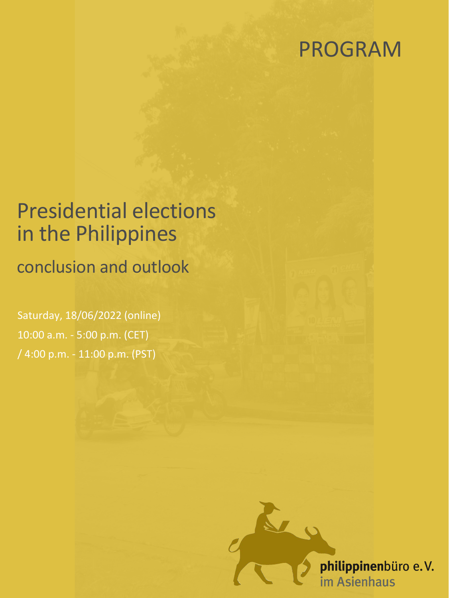## PROGRAM

## Presidential elections in the Philippines

conclusion and outlook

Saturday, 18/06/2022 (online) 10:00 a.m. - 5:00 p.m. (CET) / 4:00 p.m. - 11:00 p.m. (PST)

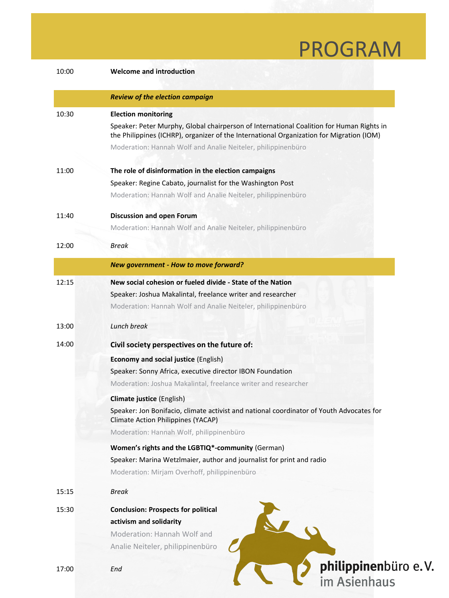## PROGRAM

| 10:00 | <b>Welcome and introduction</b>                                                                                                                                                      |
|-------|--------------------------------------------------------------------------------------------------------------------------------------------------------------------------------------|
|       | <b>Review of the election campaign</b>                                                                                                                                               |
| 10:30 | <b>Election monitoring</b>                                                                                                                                                           |
|       | Speaker: Peter Murphy, Global chairperson of International Coalition for Human Rights in<br>the Philippines (ICHRP), organizer of the International Organization for Migration (IOM) |
|       | Moderation: Hannah Wolf and Analie Neiteler, philippinenbüro                                                                                                                         |
| 11:00 | The role of disinformation in the election campaigns                                                                                                                                 |
|       | Speaker: Regine Cabato, journalist for the Washington Post                                                                                                                           |
|       | Moderation: Hannah Wolf and Analie Neiteler, philippinenbüro                                                                                                                         |
| 11:40 | <b>Discussion and open Forum</b>                                                                                                                                                     |
|       | Moderation: Hannah Wolf and Analie Neiteler, philippinenbüro                                                                                                                         |
| 12:00 | <b>Break</b>                                                                                                                                                                         |
|       | New government - How to move forward?                                                                                                                                                |
| 12:15 | New social cohesion or fueled divide - State of the Nation                                                                                                                           |
|       | Speaker: Joshua Makalintal, freelance writer and researcher                                                                                                                          |
|       | Moderation: Hannah Wolf and Analie Neiteler, philippinenbüro                                                                                                                         |
| 13:00 | Lunch break                                                                                                                                                                          |
| 14:00 | Civil society perspectives on the future of:                                                                                                                                         |
|       | <b>Economy and social justice (English)</b>                                                                                                                                          |
|       | Speaker: Sonny Africa, executive director IBON Foundation                                                                                                                            |
|       | Moderation: Joshua Makalintal, freelance writer and researcher                                                                                                                       |
|       | Climate justice (English)                                                                                                                                                            |
|       | Speaker: Jon Bonifacio, climate activist and national coordinator of Youth Advocates for<br><b>Climate Action Philippines (YACAP)</b>                                                |
|       | Moderation: Hannah Wolf, philippinenbüro                                                                                                                                             |
|       | Women's rights and the LGBTIQ*-community (German)                                                                                                                                    |
|       | Speaker: Marina Wetzlmaier, author and journalist for print and radio                                                                                                                |
|       | Moderation: Mirjam Overhoff, philippinenbüro                                                                                                                                         |
| 15:15 | <b>Break</b>                                                                                                                                                                         |
| 15:30 | <b>Conclusion: Prospects for political</b>                                                                                                                                           |
|       | activism and solidarity                                                                                                                                                              |
|       | <b>Moderation: Hannah Wolf and</b>                                                                                                                                                   |
|       | Analie Neiteler, philippinenbüro                                                                                                                                                     |
| 17:00 | philippinenbüro e.V.<br>im Asienhaus<br>End                                                                                                                                          |